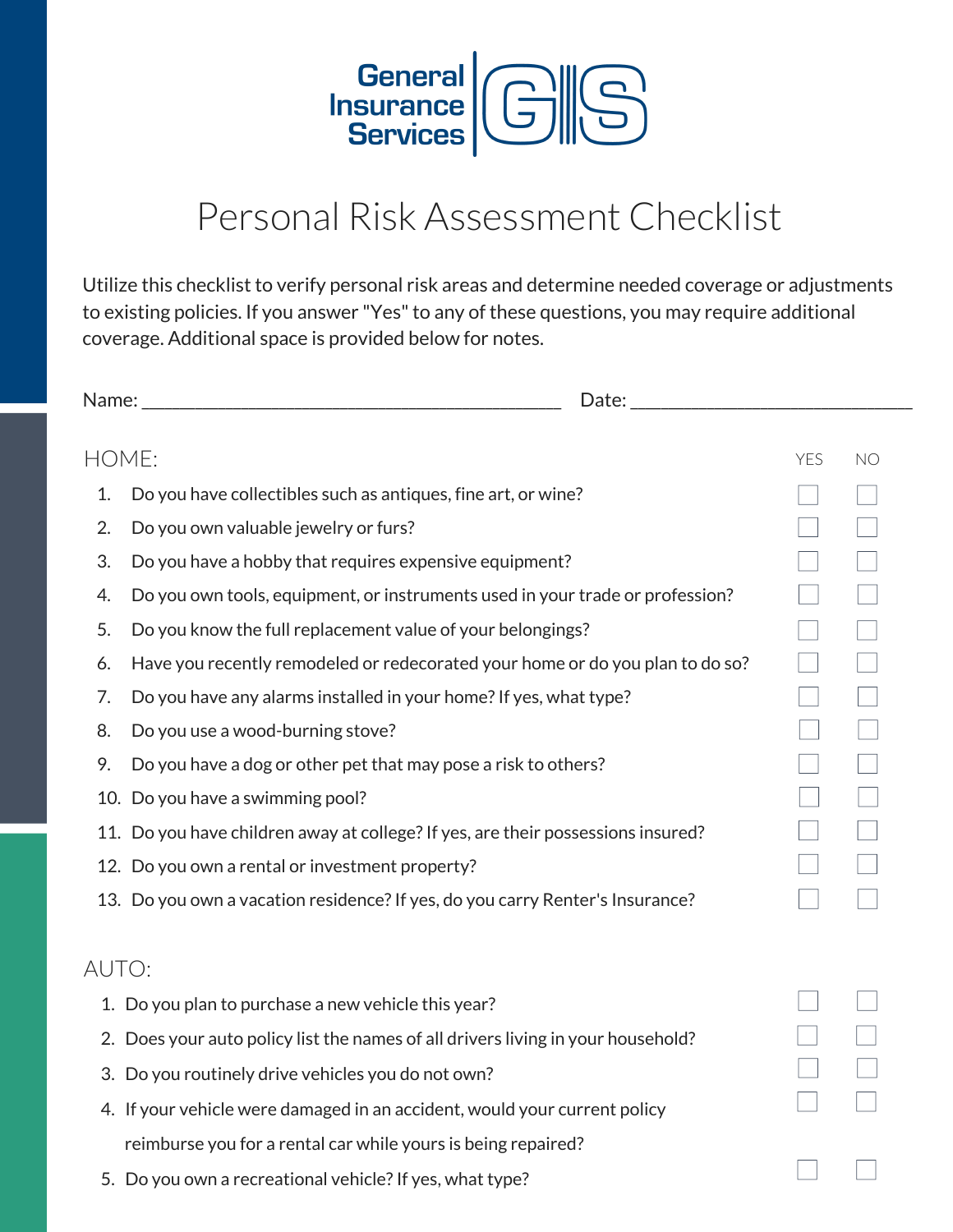

## Personal Risk Assessment Checklist

Utilize this checklist to verify personal risk areas and determine needed coverage or adjustments to existing policies. If you answer "Yes" to any of these questions, you may require additional coverage. Additional space is provided below for notes.

| HOME: |                                                                                  | YES | NO |
|-------|----------------------------------------------------------------------------------|-----|----|
| 1.    | Do you have collectibles such as antiques, fine art, or wine?                    |     |    |
|       |                                                                                  |     |    |
| 2.    | Do you own valuable jewelry or furs?                                             |     |    |
| 3.    | Do you have a hobby that requires expensive equipment?                           |     |    |
| 4.    | Do you own tools, equipment, or instruments used in your trade or profession?    |     |    |
| 5.    | Do you know the full replacement value of your belongings?                       |     |    |
| 6.    | Have you recently remodeled or redecorated your home or do you plan to do so?    |     |    |
| 7.    | Do you have any alarms installed in your home? If yes, what type?                |     |    |
| 8.    | Do you use a wood-burning stove?                                                 |     |    |
| 9.    | Do you have a dog or other pet that may pose a risk to others?                   |     |    |
|       | 10. Do you have a swimming pool?                                                 |     |    |
|       | 11. Do you have children away at college? If yes, are their possessions insured? |     |    |
|       | 12. Do you own a rental or investment property?                                  |     |    |
|       | 13. Do you own a vacation residence? If yes, do you carry Renter's Insurance?    |     |    |
| AUTO: |                                                                                  |     |    |
|       | 1. Do you plan to purchase a new vehicle this year?                              |     |    |
|       | 2. Does your auto policy list the names of all drivers living in your household? |     |    |
|       | 3. Do you routinely drive vehicles you do not own?                               |     |    |
|       | 4. If your vehicle were damaged in an accident, would your current policy        |     |    |
|       | reimburse you for a rental car while yours is being repaired?                    |     |    |
|       | 5. Do you own a recreational vehicle? If yes, what type?                         |     |    |